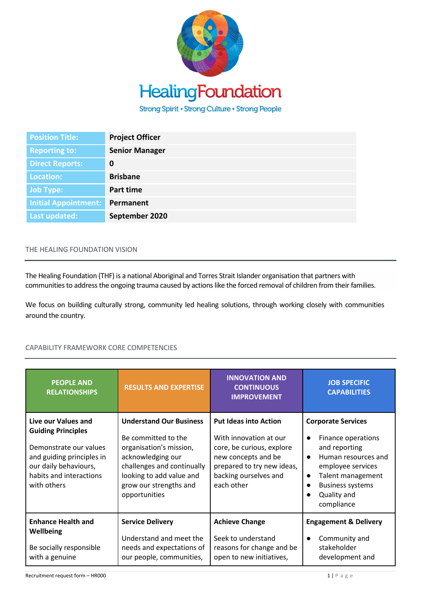

Strong Spirit • Strong Culture • Strong People

| <b>Position Title:</b>      | <b>Project Officer</b> |
|-----------------------------|------------------------|
| <b>Reporting to:</b>        | <b>Senior Manager</b>  |
| <b>Direct Reports:</b>      | 0                      |
| Location:                   | <b>Brisbane</b>        |
| <b>Job Type:</b>            | Part time              |
| <b>Initial Appointment:</b> | Permanent              |
| Last updated:               | September 2020         |

## THE HEALING FOUNDATION VISION

The Healing Foundation (THF) is a national Aboriginal and Torres Strait Islander organisation that partners with communities to address the ongoing trauma caused by actions like the forced removal of children from their families.

We focus on building culturally strong, community led healing solutions, through working closely with communities around the country.

## CAPABILITY FRAMEWORK CORE COMPETENCIES

| <b>PEOPLE AND</b><br><b>RELATIONSHIPS</b>                                                                                                                                  | <b>RESULTS AND EXPERTISE</b>                                                                                                                                                                               | <b>INNOVATION AND</b><br><b>CONTINUOUS</b><br><b>IMPROVEMENT</b>                                                                                                                | <b>JOB SPECIFIC</b><br><b>CAPABILITIES</b>                                                                                                                                                             |
|----------------------------------------------------------------------------------------------------------------------------------------------------------------------------|------------------------------------------------------------------------------------------------------------------------------------------------------------------------------------------------------------|---------------------------------------------------------------------------------------------------------------------------------------------------------------------------------|--------------------------------------------------------------------------------------------------------------------------------------------------------------------------------------------------------|
| Live our Values and<br><b>Guiding Principles</b><br>Demonstrate our values<br>and guiding principles in<br>our daily behaviours,<br>habits and interactions<br>with others | <b>Understand Our Business</b><br>Be committed to the<br>organisation's mission,<br>acknowledging our<br>challenges and continually<br>looking to add value and<br>grow our strengths and<br>opportunities | <b>Put Ideas into Action</b><br>With innovation at our<br>core, be curious, explore<br>new concepts and be<br>prepared to try new ideas,<br>backing ourselves and<br>each other | <b>Corporate Services</b><br>Finance operations<br>and reporting<br>Human resources and<br>$\bullet$<br>employee services<br>Talent management<br><b>Business systems</b><br>Quality and<br>compliance |
| <b>Enhance Health and</b><br><b>Wellbeing</b><br>Be socially responsible<br>with a genuine                                                                                 | <b>Service Delivery</b><br>Understand and meet the<br>needs and expectations of<br>our people, communities,                                                                                                | <b>Achieve Change</b><br>Seek to understand<br>reasons for change and be<br>open to new initiatives,                                                                            | <b>Engagement &amp; Delivery</b><br>Community and<br>stakeholder<br>development and                                                                                                                    |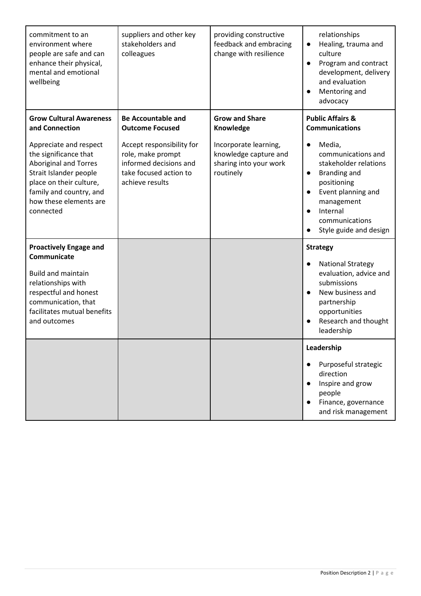| commitment to an<br>environment where<br>people are safe and can<br>enhance their physical,<br>mental and emotional<br>wellbeing                                                                       | suppliers and other key<br>stakeholders and<br>colleagues                                                             | providing constructive<br>feedback and embracing<br>change with resilience            | relationships<br>Healing, trauma and<br>$\bullet$<br>culture<br>Program and contract<br>$\bullet$<br>development, delivery<br>and evaluation<br>Mentoring and<br>$\bullet$<br>advocacy                                  |
|--------------------------------------------------------------------------------------------------------------------------------------------------------------------------------------------------------|-----------------------------------------------------------------------------------------------------------------------|---------------------------------------------------------------------------------------|-------------------------------------------------------------------------------------------------------------------------------------------------------------------------------------------------------------------------|
| <b>Grow Cultural Awareness</b><br>and Connection                                                                                                                                                       | <b>Be Accountable and</b><br><b>Outcome Focused</b>                                                                   | <b>Grow and Share</b><br>Knowledge                                                    | <b>Public Affairs &amp;</b><br><b>Communications</b>                                                                                                                                                                    |
| Appreciate and respect<br>the significance that<br><b>Aboriginal and Torres</b><br>Strait Islander people<br>place on their culture,<br>family and country, and<br>how these elements are<br>connected | Accept responsibility for<br>role, make prompt<br>informed decisions and<br>take focused action to<br>achieve results | Incorporate learning,<br>knowledge capture and<br>sharing into your work<br>routinely | Media,<br>$\bullet$<br>communications and<br>stakeholder relations<br>Branding and<br>$\bullet$<br>positioning<br>Event planning and<br>management<br>Internal<br>$\bullet$<br>communications<br>Style guide and design |
| <b>Proactively Engage and</b><br>Communicate                                                                                                                                                           |                                                                                                                       |                                                                                       | <b>Strategy</b>                                                                                                                                                                                                         |
| <b>Build and maintain</b><br>relationships with<br>respectful and honest<br>communication, that<br>facilitates mutual benefits<br>and outcomes                                                         |                                                                                                                       |                                                                                       | <b>National Strategy</b><br>$\bullet$<br>evaluation, advice and<br>submissions<br>New business and<br>$\bullet$<br>partnership<br>opportunities<br>Research and thought<br>$\bullet$<br>leadership                      |
|                                                                                                                                                                                                        |                                                                                                                       |                                                                                       | Leadership                                                                                                                                                                                                              |
|                                                                                                                                                                                                        |                                                                                                                       |                                                                                       | Purposeful strategic<br>direction<br>Inspire and grow<br>people<br>Finance, governance<br>and risk management                                                                                                           |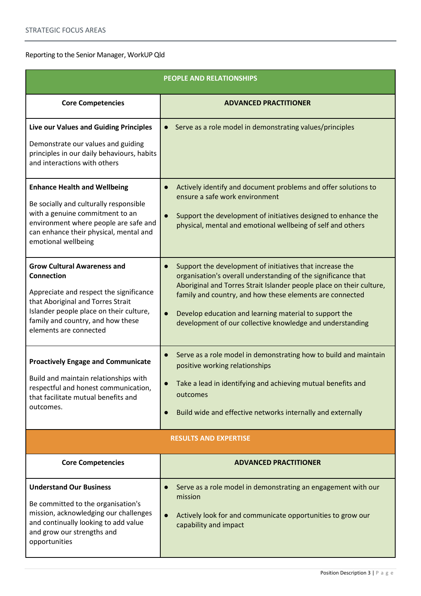## Reporting to the Senior Manager, WorkUP Qld

| PEOPLE AND RELATIONSHIPS                                                                                                                                                                                                                          |                                                                                                                                                                                                                                                                                                                                                                                                                |  |
|---------------------------------------------------------------------------------------------------------------------------------------------------------------------------------------------------------------------------------------------------|----------------------------------------------------------------------------------------------------------------------------------------------------------------------------------------------------------------------------------------------------------------------------------------------------------------------------------------------------------------------------------------------------------------|--|
| <b>Core Competencies</b>                                                                                                                                                                                                                          | <b>ADVANCED PRACTITIONER</b>                                                                                                                                                                                                                                                                                                                                                                                   |  |
| Live our Values and Guiding Principles<br>Demonstrate our values and guiding<br>principles in our daily behaviours, habits<br>and interactions with others                                                                                        | Serve as a role model in demonstrating values/principles<br>$\bullet$                                                                                                                                                                                                                                                                                                                                          |  |
| <b>Enhance Health and Wellbeing</b><br>Be socially and culturally responsible<br>with a genuine commitment to an<br>environment where people are safe and<br>can enhance their physical, mental and<br>emotional wellbeing                        | Actively identify and document problems and offer solutions to<br>$\bullet$<br>ensure a safe work environment<br>Support the development of initiatives designed to enhance the<br>$\bullet$<br>physical, mental and emotional wellbeing of self and others                                                                                                                                                    |  |
| <b>Grow Cultural Awareness and</b><br><b>Connection</b><br>Appreciate and respect the significance<br>that Aboriginal and Torres Strait<br>Islander people place on their culture,<br>family and country, and how these<br>elements are connected | Support the development of initiatives that increase the<br>$\bullet$<br>organisation's overall understanding of the significance that<br>Aboriginal and Torres Strait Islander people place on their culture,<br>family and country, and how these elements are connected<br>Develop education and learning material to support the<br>$\bullet$<br>development of our collective knowledge and understanding |  |
| <b>Proactively Engage and Communicate</b><br>Build and maintain relationships with<br>respectful and honest communication,<br>that facilitate mutual benefits and<br>outcomes.                                                                    | Serve as a role model in demonstrating how to build and maintain<br>$\bullet$<br>positive working relationships<br>Take a lead in identifying and achieving mutual benefits and<br>outcomes<br>Build wide and effective networks internally and externally<br>$\bullet$                                                                                                                                        |  |
| <b>RESULTS AND EXPERTISE</b>                                                                                                                                                                                                                      |                                                                                                                                                                                                                                                                                                                                                                                                                |  |
| <b>Core Competencies</b>                                                                                                                                                                                                                          | <b>ADVANCED PRACTITIONER</b>                                                                                                                                                                                                                                                                                                                                                                                   |  |
| <b>Understand Our Business</b><br>Be committed to the organisation's<br>mission, acknowledging our challenges<br>and continually looking to add value<br>and grow our strengths and<br>opportunities                                              | Serve as a role model in demonstrating an engagement with our<br>$\bullet$<br>mission<br>Actively look for and communicate opportunities to grow our<br>$\bullet$<br>capability and impact                                                                                                                                                                                                                     |  |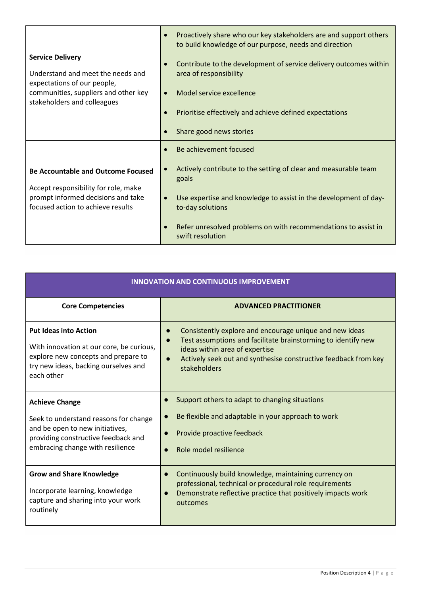|                                                                                                                                                                    | Proactively share who our key stakeholders are and support others<br>$\bullet$<br>to build knowledge of our purpose, needs and direction                                                                                                                                                                   |
|--------------------------------------------------------------------------------------------------------------------------------------------------------------------|------------------------------------------------------------------------------------------------------------------------------------------------------------------------------------------------------------------------------------------------------------------------------------------------------------|
| <b>Service Delivery</b><br>Understand and meet the needs and<br>expectations of our people,<br>communities, suppliers and other key<br>stakeholders and colleagues | Contribute to the development of service delivery outcomes within<br>$\bullet$<br>area of responsibility<br>Model service excellence<br>$\bullet$<br>Prioritise effectively and achieve defined expectations<br>Share good news stories                                                                    |
| <b>Be Accountable and Outcome Focused</b><br>Accept responsibility for role, make<br>prompt informed decisions and take<br>focused action to achieve results       | Be achievement focused<br>Actively contribute to the setting of clear and measurable team<br>goals<br>Use expertise and knowledge to assist in the development of day-<br>$\bullet$<br>to-day solutions<br>Refer unresolved problems on with recommendations to assist in<br>$\bullet$<br>swift resolution |

| <b>INNOVATION AND CONTINUOUS IMPROVEMENT</b>                                                                                                                                 |                                                                                                                                                                                                                                               |  |
|------------------------------------------------------------------------------------------------------------------------------------------------------------------------------|-----------------------------------------------------------------------------------------------------------------------------------------------------------------------------------------------------------------------------------------------|--|
| <b>Core Competencies</b>                                                                                                                                                     | <b>ADVANCED PRACTITIONER</b>                                                                                                                                                                                                                  |  |
| <b>Put Ideas into Action</b><br>With innovation at our core, be curious,<br>explore new concepts and prepare to<br>try new ideas, backing ourselves and<br>each other        | Consistently explore and encourage unique and new ideas<br>Test assumptions and facilitate brainstorming to identify new<br>ideas within area of expertise<br>Actively seek out and synthesise constructive feedback from key<br>stakeholders |  |
| <b>Achieve Change</b><br>Seek to understand reasons for change<br>and be open to new initiatives,<br>providing constructive feedback and<br>embracing change with resilience | Support others to adapt to changing situations<br>$\bullet$<br>Be flexible and adaptable in your approach to work<br>Provide proactive feedback<br>Role model resilience<br>$\bullet$                                                         |  |
| <b>Grow and Share Knowledge</b><br>Incorporate learning, knowledge<br>capture and sharing into your work<br>routinely                                                        | Continuously build knowledge, maintaining currency on<br>$\bullet$<br>professional, technical or procedural role requirements<br>Demonstrate reflective practice that positively impacts work<br>$\bullet$<br>outcomes                        |  |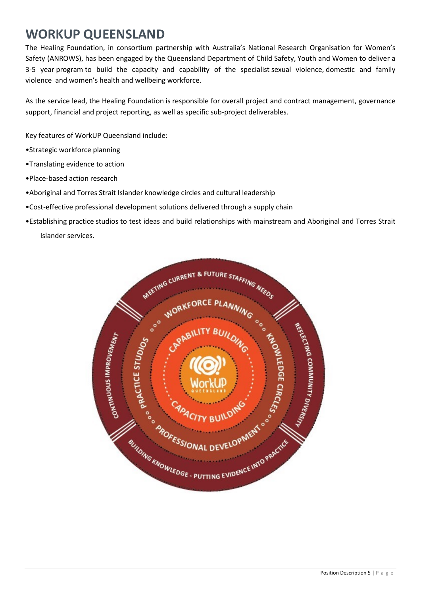## **WORKUP QUEENSLAND**

The Healing Foundation, in consortium partnership with Australia's National Research Organisation for Women's Safety (ANROWS), has been engaged by the Queensland Department of Child Safety, Youth and Women to deliver a 3-5 year program to build the capacity and capability of the specialist sexual violence, domestic and family violence and women's health and wellbeing workforce.

As the service lead, the Healing Foundation is responsible for overall project and contract management, governance support, financial and project reporting, as well as specific sub-project deliverables.

Key features of WorkUP Queensland include:

- •Strategic workforce planning
- •Translating evidence to action
- •Place-based action research
- •Aboriginal and Torres Strait Islander knowledge circles and cultural leadership
- •Cost-effective professional development solutions delivered through a supply chain
- •Establishing practice studios to test ideas and build relationships with mainstream and Aboriginal and Torres Strait Islander services.

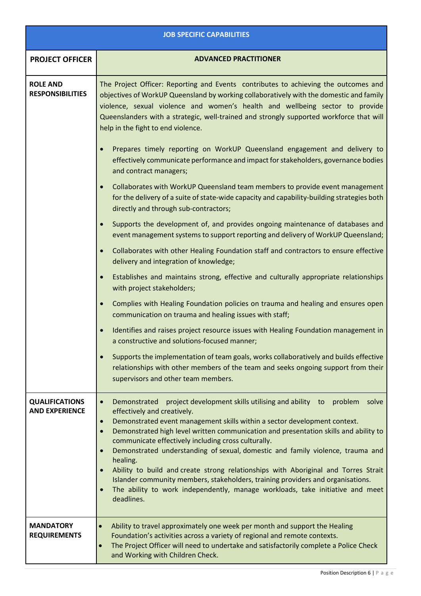|                                                | <b>JOB SPECIFIC CAPABILITIES</b>                                                                                                                                                                                                                                                                                                                                                                                                                                                                                                                                                                                                                                                                                                      |
|------------------------------------------------|---------------------------------------------------------------------------------------------------------------------------------------------------------------------------------------------------------------------------------------------------------------------------------------------------------------------------------------------------------------------------------------------------------------------------------------------------------------------------------------------------------------------------------------------------------------------------------------------------------------------------------------------------------------------------------------------------------------------------------------|
| <b>PROJECT OFFICER</b>                         | <b>ADVANCED PRACTITIONER</b>                                                                                                                                                                                                                                                                                                                                                                                                                                                                                                                                                                                                                                                                                                          |
| <b>ROLE AND</b><br><b>RESPONSIBILITIES</b>     | The Project Officer: Reporting and Events contributes to achieving the outcomes and<br>objectives of WorkUP Queensland by working collaboratively with the domestic and family<br>violence, sexual violence and women's health and wellbeing sector to provide<br>Queenslanders with a strategic, well-trained and strongly supported workforce that will<br>help in the fight to end violence.                                                                                                                                                                                                                                                                                                                                       |
|                                                | Prepares timely reporting on WorkUP Queensland engagement and delivery to<br>effectively communicate performance and impact for stakeholders, governance bodies<br>and contract managers;                                                                                                                                                                                                                                                                                                                                                                                                                                                                                                                                             |
|                                                | Collaborates with WorkUP Queensland team members to provide event management<br>for the delivery of a suite of state-wide capacity and capability-building strategies both<br>directly and through sub-contractors;                                                                                                                                                                                                                                                                                                                                                                                                                                                                                                                   |
|                                                | Supports the development of, and provides ongoing maintenance of databases and<br>event management systems to support reporting and delivery of WorkUP Queensland;                                                                                                                                                                                                                                                                                                                                                                                                                                                                                                                                                                    |
|                                                | Collaborates with other Healing Foundation staff and contractors to ensure effective<br>delivery and integration of knowledge;                                                                                                                                                                                                                                                                                                                                                                                                                                                                                                                                                                                                        |
|                                                | Establishes and maintains strong, effective and culturally appropriate relationships<br>with project stakeholders;                                                                                                                                                                                                                                                                                                                                                                                                                                                                                                                                                                                                                    |
|                                                | Complies with Healing Foundation policies on trauma and healing and ensures open<br>communication on trauma and healing issues with staff;                                                                                                                                                                                                                                                                                                                                                                                                                                                                                                                                                                                            |
|                                                | Identifies and raises project resource issues with Healing Foundation management in<br>a constructive and solutions-focused manner;                                                                                                                                                                                                                                                                                                                                                                                                                                                                                                                                                                                                   |
|                                                | Supports the implementation of team goals, works collaboratively and builds effective<br>relationships with other members of the team and seeks ongoing support from their<br>supervisors and other team members.                                                                                                                                                                                                                                                                                                                                                                                                                                                                                                                     |
| <b>QUALIFICATIONS</b><br><b>AND EXPERIENCE</b> | project development skills utilising and ability to<br>problem<br>Demonstrated<br>solve<br>effectively and creatively.<br>Demonstrated event management skills within a sector development context.<br>$\bullet$<br>Demonstrated high level written communication and presentation skills and ability to<br>communicate effectively including cross culturally.<br>Demonstrated understanding of sexual, domestic and family violence, trauma and<br>healing.<br>Ability to build and create strong relationships with Aboriginal and Torres Strait<br>Islander community members, stakeholders, training providers and organisations.<br>The ability to work independently, manage workloads, take initiative and meet<br>deadlines. |
| <b>MANDATORY</b><br><b>REQUIREMENTS</b>        | Ability to travel approximately one week per month and support the Healing<br>$\bullet$<br>Foundation's activities across a variety of regional and remote contexts.<br>The Project Officer will need to undertake and satisfactorily complete a Police Check<br>$\bullet$<br>and Working with Children Check.                                                                                                                                                                                                                                                                                                                                                                                                                        |